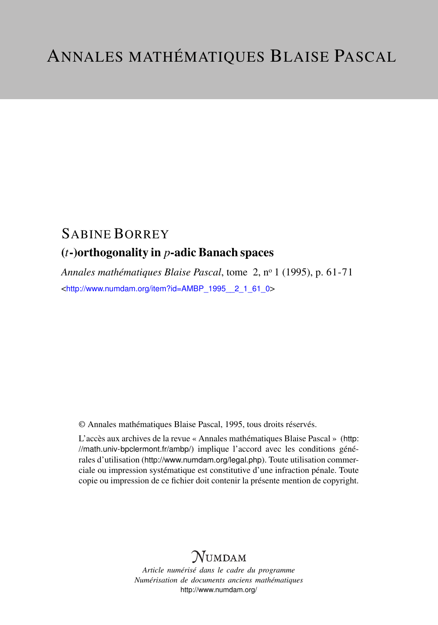# SABINE BORREY (*t*-)orthogonality in *p*-adic Banach spaces

*Annales mathématiques Blaise Pascal*, tome 2, n<sup>o</sup> 1 (1995), p. 61-71 <[http://www.numdam.org/item?id=AMBP\\_1995\\_\\_2\\_1\\_61\\_0](http://www.numdam.org/item?id=AMBP_1995__2_1_61_0)>

© Annales mathématiques Blaise Pascal, 1995, tous droits réservés.

L'accès aux archives de la revue « Annales mathématiques Blaise Pascal » ([http:](http://math.univ-bpclermont.fr/ambp/) [//math.univ-bpclermont.fr/ambp/](http://math.univ-bpclermont.fr/ambp/)) implique l'accord avec les conditions générales d'utilisation (<http://www.numdam.org/legal.php>). Toute utilisation commerciale ou impression systématique est constitutive d'une infraction pénale. Toute copie ou impression de ce fichier doit contenir la présente mention de copyright.

# **NUMDAM**

*Article numérisé dans le cadre du programme Numérisation de documents anciens mathématiques* <http://www.numdam.org/>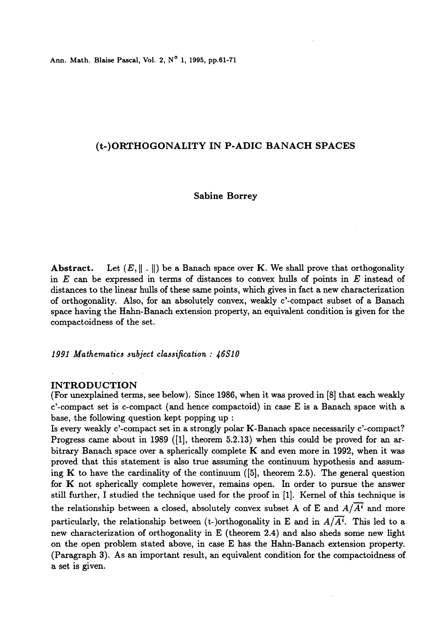Ann. Math. Blaise Pascal, Vol. 2,  $N^{\circ}$  1, 1995, pp.61-71

# (t-)ORTHOGONALITY IN P-ADIC BANACH SPACES

#### Sabine Borrey

Abstract. Let  $(E, || \cdot ||)$  be a Banach space over K. We shall prove that orthogonality in  $E$  can be expressed in terms of distances to convex hulls of points in  $E$  instead of distances to the linear hulls of these same points, which gives in fact a new characterization of orthogonality. Also, for an absolutely convex, weakly c'-compact subset of a Banach space having the Hahn-Banach extension property, an equivalent condition is given for the compactoidness of the set.

1991 Mathematics subject classification : 46S10

#### INTRODUCTION

(For unexplained terms, see below). Since 1986, when it was proved in [8] that each weakly c'-compact set is c-compact (and hence compactoid) in case E is a Banach space with a base, the following question kept popping up :

Is every weakly c'-compact set in a strongly polar K-Banach space necessarily c'-compact? Progress came about in 1989 ( $\{1\}$ , theorem 5.2.13) when this could be proved for an arbitrary Banach space over a spherically complete K and even more in 1992, when it was proved that this statement is also true assuming the continuum hypothesis and assuming K to have the cardinality of the continuum  $([5]$ , theorem 2.5). The general question for  $K$  not spherically complete however, remains open. In order to pursue the answer still further, I studied the technique used for the proof in [1]. Kernel of this technique is the relationship between a closed, absolutely convex subset A of E and  $A/\overline{A}^i$  and more particularly, the relationship between (t-)orthogonality in E and in  $A/\overline{A^i}$ . This led to a new characterization of orthogonality in E (theorem 2.4) and also sheds some new light on the open problem stated above, in case E has the Hahn-Banach extension property. (Paragraph 3). As an important result, an equivalent condition for the compactoidness of a set is given.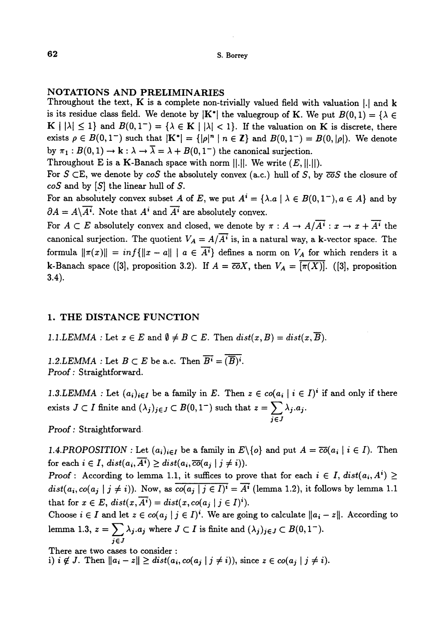### NOTATIONS AND PRELIMINARIES

Throughout the text,  $\bf{K}$  is a complete non-trivially valued field with valuation  $|.|$  and  $\bf{k}$ is its residue class field. We denote by  $|K^*|$  the valuegroup of K. We put  $B(0, 1) = \{\lambda \in$  $K \mid |\lambda| \leq 1$  and  $B(0,1^-) = {\lambda \in K \mid |\lambda| < 1}$ . If the valuation on K is discrete, there exists  $\rho \in B(0,1^-)$  such that  $|K^*| = {|\rho|^n | n \in \mathbb{Z}}$  and  $B(0,1^-) = B(0, |\rho|)$ . We denote by  $\pi_1 : B(0,1) \to \mathbf{k} : \lambda \to \overline{\lambda} = \lambda + B(0,1^-)$  the canonical surjection.

Throughout E is a K-Banach space with norm  $||.||.$  We write  $(E, ||.||).$ 

For  $S \subset E$ , we denote by  $\cos$  the absolutely convex (a.c.) hull of S, by  $\overline{co}S$  the closure of  $coS$  and by  $[S]$  the linear hull of S.

For an absolutely convex subset A of E, we put  $A^i = {\lambda a \mid \lambda \in B(0,1^{-})}, a \in A}$  and by  $\partial A = A\backslash \overline{A^i}$ . Note that  $A^i$  and  $\overline{A^i}$  are absolutely convex.

For  $A \subset E$  absolutely convex and closed, we denote by  $\pi : A \to A/\overline{A^i} : x \to x + \overline{A^i}$  the canonical surjection. The quotient  $V_A = A/\overline{A^i}$  is, in a natural way, a k-vector space. The formula  $\|\pi(x)\| = \inf\{\|x - a\| \mid a \in \overline{A^i}\}\$ defines a norm on  $V_A$  for which renders it a k-Banach space ([3], proposition 3.2). If  $A = \overline{co}X$ , then  $V_A = [\overline{\pi(X)}]$ . ([3], proposition 3.4).

## 1. THE DISTANCE FUNCTION

1.1.LEMMA : Let  $x \in E$  and  $\emptyset \neq B \subset E$ . Then  $dist(x, B) = dist(x, \overline{B})$ .

1.2.LEMMA : Let  $B \subset E$  be a.c. Then  $\overline{B^i} = (\overline{B})^i$ . Proof : Straightforward.

1.3.LEMMA : Let  $(a_i)_{i\in I}$  be a family in E. Then  $z \in co(a_i \mid i \in I)^i$  if and only if there exists  $J \subset I$  finite and  $(\lambda_j)_{j \in J} \subset B(0, 1^-)$  such that  $z = \sum_{j \in J} \lambda_j a_j$ .

Proof : Straightforward

1.4.PROPOSITION : Let  $(a_i)_{i \in I}$  be a family in  $E \setminus \{o\}$  and put  $A = \overline{co}(a_i | i \in I)$ . Then for each  $i \in I$ ,  $dist(a_i, A^i) \geq dist(a_i, \overline{co}(a_j \mid j \neq i)).$ 

Proof : According to lemma 1.1, it suffices to prove that for each  $i \in I$ ,  $dist(a_i, A^i) \geq$  $dist(a_i, co(a_i | j \neq i))$ . Now, as  $\overline{co(a_i | j \in I)^i} = \overline{A^i}$  (lemma 1.2), it follows by lemma 1.1 that for  $x \in E$ ,  $dist(x, \overline{A^i}) = dist(x, co(a_j \mid j \in I)^i)$ .

Choose  $i \in I$  and let  $z \in co(a_j | j \in I)^i$ . We are going to calculate  $||a_i - z||$ . According to lemma 1.3,  $z = \sum_{i} \lambda_{j}.a_{j}$  where  $J \subset I$  is finite and  $(\lambda_{j})_{j \in J} \subset B(0,1^{-}).$ jEJ

There are two cases to consider :

i)  $i \notin J$ . Then  $||a_i - z|| \ge dist(a_i, co(a_j \mid j \neq i))$ , since  $z \in co(a_j \mid j \neq i)$ .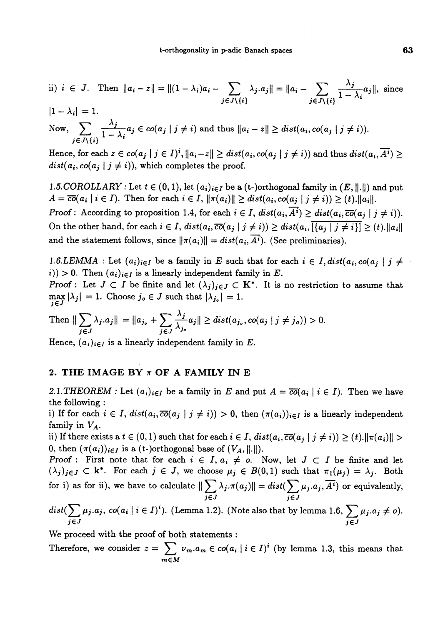ii) 
$$
i \in J
$$
. Then  $||a_i - z|| = ||(1 - \lambda_i)a_i - \sum_{j \in J \setminus \{i\}} \lambda_j.a_j|| = ||a_i - \sum_{j \in J \setminus \{i\}} \frac{\lambda_j}{1 - \lambda_i} a_j||$ , since  $|1 - \lambda_i| = 1$ .

Now,  $\sum_{j \in J \setminus \{i\}} \frac{\gamma_j}{1-\lambda_i} a_j \in co(a_j \mid j \neq i)$  and thus  $||a_i - z|| \ge dist(a_i, co(a_j \mid j \neq i)).$ 

Hence, for each  $z \in co(a_j | j \in I)^i$ ,  $||a_i - z|| \ge dist(a_i, co(a_j | j \neq i))$  and thus  $dist(a_i, \overline{A^i}) \ge$  $dist(a_i, co(a_j | j \neq i))$ , which completes the proof.

1.5. COROLLARY : Let  $t \in (0,1)$ , let  $(a_i)_{i \in I}$  be a (t-)orthogonal family in  $(E, \|\cdot\|)$  and put  $A = \overline{co}(a_i \mid i \in I)$ . Then for each  $i \in I$ ,  $\|\pi(a_i)\| \geq dist(a_i, co(a_i \mid j \neq i)) \geq (t)$ .  $\|a_i\|$ .

Proof: According to proposition 1.4, for each  $i \in I$ ,  $dist(a_i, \overline{A^i}) \geq dist(a_i, \overline{co}(a_i \mid j \neq i)).$ On the other hand, for each  $i \in I$ ,  $dist(a_i, \overline{co}(a_j \mid j \neq i)) \geq dist(a_i, \overline{\lceil\{a_j \mid j \neq i\}\rceil} \geq (t) \lceil a_i \rceil$ and the statement follows, since  $\|\pi(a_i)\| = dist(a_i, \overline{A^i})$ . (See preliminaries).

1.6.LEMMA : Let  $(a_i)_{i\in I}$  be a family in E such that for each  $i \in I$ ,  $dist(a_i, co(a_i \mid j \neq j])$  $(i)$  > 0. Then  $(a_i)_{i \in I}$  is a linearly independent family in E.

**Proof**: Let  $J \subset I$  be finite and let  $(\lambda_j)_{j \in J} \subset K^*$ . It is no restriction to assume that  $\max_{j\in J} |\lambda_j| = 1$ . Choose  $j_o \in J$  such that  $|\lambda_{j_o}| = 1$ .

Then 
$$
\|\sum_{j\in J} \lambda_j a_j\| = \|a_{j_o} + \sum_{j\in J} \frac{\lambda_j}{\lambda_{j_o}} a_j\| \ge dist(a_{j_o}, co(a_j \mid j \neq j_o)) > 0.
$$

Hence,  $(a_i)_{i \in I}$  is a linearly independent family in E.

#### 2. THE IMAGE BY  $\pi$  OF A FAMILY IN E

2.1.THEOREM : Let  $(a_i)_{i\in I}$  be a family in E and put  $A = \overline{co}(a_i \mid i \in I)$ . Then we have the following :

i) If for each  $i \in I$ ,  $dist(a_i, \overline{co}(a_j \mid j \neq i)) > 0$ , then  $(\pi(a_i))_{i \in I}$  is a linearly independent family in  $V_A$ .

ii) If there exists a  $t \in (0,1)$  such that for each  $i \in I$ ,  $dist(a_i, \overline{co}(a_j \mid j \neq i)) \geq (t) \cdot ||\pi(a_i)|| >$ 0, then  $(\pi(a_i))_{i\in I}$  is a (t-)orthogonal base of  $(V_A, ||.||)$ .

Proof : First note that for each  $i \in I$ ,  $a_i \neq o$ . Now, let  $J \subset I$  be finite and let  $(\lambda_j)_{j\in J} \subset \mathbf{k}^*$ . For each  $j \in J$ , we choose  $\mu_j \in B(0,1)$  such that  $\pi_1(\mu_j) = \lambda_j$ . Both for i) as for ii), we have to calculate  $\|\sum \lambda_j.\pi(a_j)\| = dist(\sum \mu_j.a_j,\overline{A^i})$  or equivalently, jEJ jEJ

 $dist(\sum \mu_j.a_j, \, co(a_i \mid i \in I)^t).$  (Lemma 1.2). (Note also that by lemma 1.6,  $\sum \mu_j.a_j \neq o$ ).  $j \in J$  . The set of the set of the set of the set of the set of the set of the set of the set of the set of the set of the set of the set of the set of the set of the set of the set of the set of the set of the set of the

We proceed with the proof of both statements :

Therefore, we consider  $z = \sum_{m} \nu_m a_m \in co(a_i | i \in I)^i$  (by lemma 1.3, this means that  $m \in M$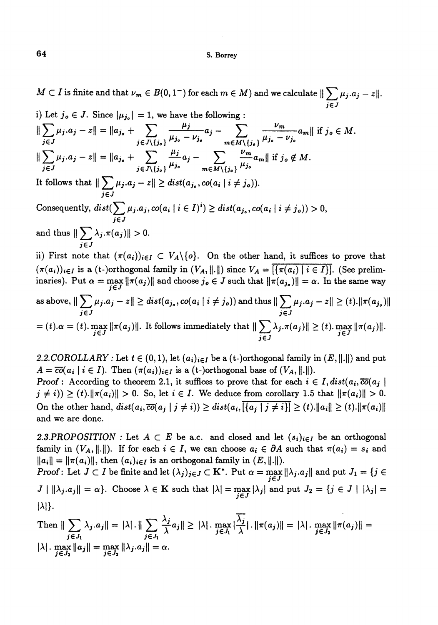$M\subset I$  is finite and that  $\nu_m\in B(0,1^-)$  for each  $m\in M)$  and we calculate  $\|\sum \mu_j.a_j-z\|.$  $j \in J$ 

i) Let 
$$
j_0 \in J
$$
. Since  $|\mu_{j_0}| = 1$ , we have the following :  $||\sum_{j\in J} \mu_j.a_j - z|| = ||a_{j_0} + \sum_{j\in J\setminus\{j_0\}} \frac{\mu_j}{\mu_{j_0} - \nu_{j_0}} a_j - \sum_{m\in M\setminus\{j_0\}} \frac{\nu_m}{\mu_{j_0} - \nu_{j_0}} a_m||$  if  $j_0 \in M$ .  $||\sum_{j\in J} \mu_j.a_j - z|| = ||a_{j_0} + \sum_{j\in J\setminus\{j_0\}} \frac{\mu_j}{\mu_{j_0}} a_j - \sum_{m\in M\setminus\{j_0\}} \frac{\nu_m}{\mu_{j_0}} a_m||$  if  $j_0 \notin M$ . It follows that  $||\sum_{j\in J} \mu_j.a_j - z|| \geq dist(a_{j_0}, co(a_i | i \neq j_0)).$  Consequently,  $dist(\sum_{j\in J} \mu_j.a_j, co(a_i | i \in I)^i) \geq dist(a_{j_0}, co(a_i | i \neq j_0)) > 0$ , and thus  $||\sum_{j\in J} \lambda_j.\pi(a_j)|| > 0$ .  $ii)$  First note that  $(\pi(a_i))_{i\in I} \subset V_A \setminus \{o\}$ . On the other hand, it suffices to prove that

 $(\pi(a_i))_{i\in I}$  is a (t-)orthogonal family in  $(V_A, ||.||)$  since  $V_A = [\{\pi(a_i) \mid i \in I\}]$ . (See preliminaries). Put  $\alpha = \max_{j \in J} ||\pi(a_j)||$  and choose  $j_o \in J$  such that  $||\pi(a_{j_o})|| = \alpha$ . In the same way

as above, 
$$
\|\sum_{j\in J} \mu_j.a_j - z\| \ge dist(a_{j_o}, co(a_i \mid i \neq j_o))
$$
 and thus  $\|\sum_{j\in J} \mu_j.a_j - z\| \ge (t). \|\pi(a_{j_o})\|$   
=  $(t). \alpha = (t). \max_{j\in J} \|\pi(a_j)\|$ . It follows immediately that  $\|\sum_{j\in J} \lambda_j.\pi(a_j)\| \ge (t). \max_{j\in J} \|\pi(a_j)\|$ .

2.2.COROLLARY : Let  $t \in (0,1)$ , let  $(a_i)_{i \in I}$  be a (t-)orthogonal family in  $(E, \|\cdot\|)$  and put  $A = \overline{co}(a_i \mid i \in I)$ . Then  $(\pi(a_i))_{i \in I}$  is a (t-)orthogonal base of  $(V_A, \|.\|)$ .

Proof : According to theorem 2.1, it suffices to prove that for each  $i \in I$ ,  $dist(a_i, \overline{co}(a_j))$  $j \neq i$ ))  $\geq (t)$ .  $\|\pi(a_i)\| > 0$ . So, let  $i \in I$ . We deduce from corollary 1.5 that  $\|\pi(a_i)\| > 0$ . On the other hand,  $dist(a_i, \overline{co}(a_i | j \neq i)) \geq dist(a_i, \overline{|\{a_i | j \neq i\}|} \geq (t) \cdot ||a_i|| \geq (t) \cdot ||\pi(a_i)||$ and we are done.

2.3.PROPOSITION : Let  $A \subset E$  be a.c. and closed and let  $(s_i)_{i \in I}$  be an orthogonal family in  $(V_A, \|\cdot\|)$ . If for each  $i \in I$ , we can choose  $a_i \in \partial A$  such that  $\pi(a_i) = s_i$  and  $||a_i|| = ||\pi(a_i)||$ , then  $(a_i)_{i \in I}$  is an orthogonal family in  $(E, ||.||)$ .

Proof: Let  $J \subset I$  be finite and let  $(\lambda_j)_{j \in J} \subset \mathbf{K}^*$ . Put  $\alpha = \max_{j \in J} ||\lambda_j a_j||$  and put  $J_1 = \{j \in I\}$  $J \mid \|\lambda_j.a_j\| = \alpha\}.$  Choose  $\lambda \in \mathbb{K}$  such that  $|\lambda| = \max_{j \in J} |\lambda_j|$  and put  $J_2 = \{j \in J \mid |\lambda_j| = \alpha\}$  $|\lambda|$ .

Then 
$$
\|\sum_{j\in J_1} \lambda_j.a_j\| = |\lambda| \cdot \|\sum_{j\in J_1} \frac{\lambda_j}{\lambda}a_j\| \ge |\lambda| \cdot \max_{j\in J_1} |\frac{\overline{\lambda_j}}{\lambda}| \cdot \|\pi(a_j)\| = |\lambda| \cdot \max_{j\in J_2} \|\pi(a_j)\| = |\lambda| \cdot \max_{j\in J_2} \|\pi(a_j)\| = |\lambda| \cdot \max_{j\in J_2} \|\lambda_j.a_j\| = \alpha.
$$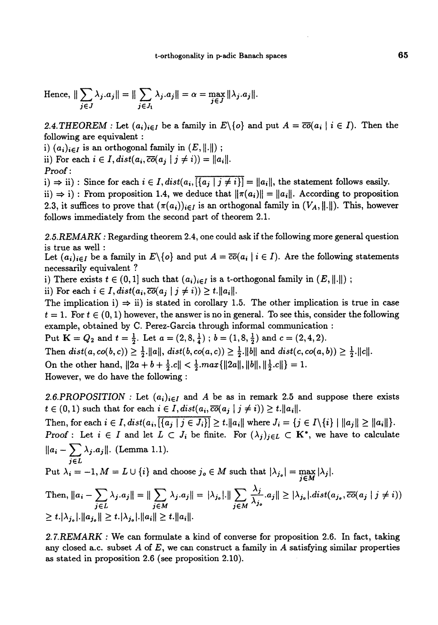Hence, 
$$
\|\sum_{j\in J} \lambda_j.a_j\| = \|\sum_{j\in J_1} \lambda_j.a_j\| = \alpha = \max_{j\in J} \|\lambda_j.a_j\|.
$$

2.4. THEOREM : Let  $(a_i)_{i \in I}$  be a family in  $E\setminus\{o\}$  and put  $A = \overline{co}(a_i \mid i \in I)$ . Then the following are equivalent :

i)  $(a_i)_{i\in I}$  is an orthogonal family in  $(E, \|\cdot\|)$ ;

ii) For each  $i \in I$ ,  $dist(a_i, \overline{co}(a_i \mid j \neq i)) = ||a_i||$ . Proof :<br>  $\cdots$   $\cdots$   $\cdots$   $\cdots$   $\cdots$   $\cdots$   $\cdots$   $\cdots$   $\cdots$   $\cdots$   $\cdots$   $\cdots$   $\cdots$   $\cdots$   $\cdots$   $\cdots$   $\cdots$   $\cdots$   $\cdots$   $\cdots$   $\cdots$   $\cdots$   $\cdots$   $\cdots$   $\cdots$   $\cdots$   $\cdots$   $\cdots$   $\cdots$   $\cdots$   $\cdots$   $\cdots$   $\cdots$   $\cdots$   $\cdots$   $\$ 

 $(i) \Rightarrow ii)$ : Since for each  $i \in I$ ,  $dist(a_i, \overline{\{\{a_j \mid j \neq i\}\}} = \|a_i\|$ , the statement follows easily. ii)  $\Rightarrow$  i) : From proposition 1.4, we deduce that  $||\pi(a_i)|| = ||a_i||$ . According to proposition 2.3, it suffices to prove that  $(\pi(a_i))_{i\in I}$  is an orthogonal family in  $(V_A, \|\cdot\|)$ . This, however follows immediately from the second part of theorem 2.1.

2.5. REMARK : Regarding theorem 2.4, one could ask if the following more general question is true as well :

Let  $(a_i)_{i \in I}$  be a family in  $E \setminus \{o\}$  and put  $A = \overline{co}(a_i | i \in I)$ . Are the following statements necessarily equivalent ?

i) There exists  $t \in (0,1]$  such that  $(a_i)_{i \in I}$  is a t-orthogonal family in  $(E, ||.||)$ ;

ii) For each  $i \in I$ ,  $dist(a_i, \overline{co}(a_j \mid j \neq i)) \geq t$ .  $||a_i||$ .

The implication i)  $\Rightarrow$  ii) is stated in corollary 1.5. The other implication is true in case  $t = 1$ . For  $t \in (0,1)$  however, the answer is no in general. To see this, consider the following example, obtained by C. Perez-Garcia through informal communication :

Put  $K = Q_2$  and  $t = \frac{1}{2}$ . Let  $a = (2, 8, \frac{1}{4})$ ;  $b = (1, 8, \frac{1}{2})$  and  $c = (2, 4, 2)$ .

Then  $dist(a, co(b, c)) \geq \frac{1}{2}$ .  $||a||$ ,  $dist(b, co(a, c)) \geq \frac{1}{2}$ .  $||b||$  and  $dist(c, co(a, b)) \geq \frac{1}{2}$ .  $||c||$ . On the other hand,  $||2a + b + \frac{1}{2}c|| < \frac{1}{2} max{||2a||, ||b||, ||\frac{1}{2}c||} = 1.$ 

However, we do have the following :

2.6.PROPOSITION : Let  $(a_i)_{i\in I}$  and A be as in remark 2.5 and suppose there exists  $t \in (0,1)$  such that for each  $i \in I$ ,  $dist(a_i, \overline{co}(a_j \mid j \neq i)) \geq t$ .  $||a_i||$ .

Then, for each  $i \in I$ ,  $dist(a_i, \overline{\{a_j \mid j \in J_i\}}] \ge t$ .  $||a_i||$  where  $J_i = \{j \in I \setminus \{i\} \mid ||a_j|| \ge ||a_i||\}$ . Proof : Let  $i \in I$  and let  $L \subset J_i$  be finite. For  $(\lambda_j)_{j \in L} \subset K^*$ , we have to calculate  $\sum_{i} \lambda_{j}.a_{j}$ ||. (Lemma 1.1). jEL

Put  $\lambda_i = -1, M = L \cup \{i\}$  and choose  $j_o \in M$  such that  $|\lambda_{j_o}| = \max_{j \in M} |\lambda_j|$ .

Then, 
$$
||a_i - \sum_{j \in L} \lambda_j a_j|| = ||\sum_{j \in M} \lambda_j a_j|| = |\lambda_{j_o}| ||\sum_{j \in M} \frac{\lambda_j}{\lambda_{j_o}} a_j|| \ge |\lambda_{j_o}|
$$
. $dist(a_{j_o}, \overline{co}(a_j \mid j \neq i))$   
\n $\ge t. |\lambda_{j_o}| ||a_{j_o}|| \ge t. |\lambda_{j_o}| ||a_i|| \ge t. ||a_i||$ .

2.7.REMARK : We can formulate a kind of converse for proposition 2.6. In fact, taking any closed a.c. subset A of E, we can construct a family in A satisfying similar properties as stated in proposition 2.6 (see proposition 2.10).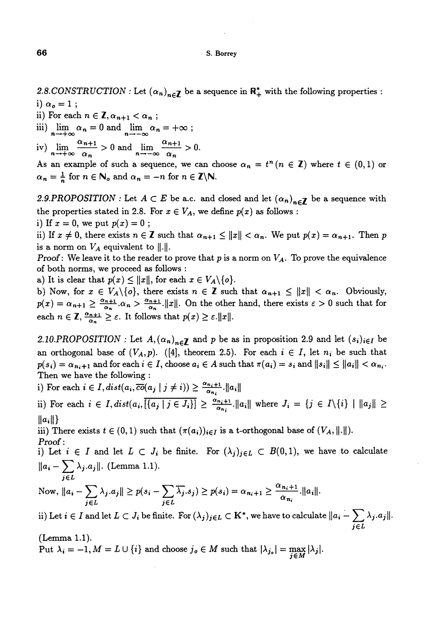2.8.CONSTRUCTION : Let  $(\alpha_n)_{n \in \mathbb{Z}}$  be a sequence in  $\mathbb{R}_+^*$  with the following properties : i)  $\alpha_o = 1$ ;

ii) For each  $n \in \mathbb{Z}, \alpha_{n+1} < \alpha_n$ ;

iii)  $\lim_{n \to +\infty} \alpha_n = 0$  and  $\lim_{n \to -\infty} \alpha_n = +\infty$ ;

iv)  $\lim_{n \to +\infty} \frac{\alpha_{n+1}}{\alpha_n} > 0$  and  $\lim_{n \to -\infty} \frac{\alpha_{n+1}}{\alpha_n} > 0$ .

As an example of such a sequence, we can choose  $\alpha_n = t^n (n \in \mathbb{Z})$  where  $t \in (0,1)$  or  $\alpha_n = \frac{1}{n}$  for  $n \in \mathbb{N}_o$  and  $\alpha_n = -n$  for  $n \in \mathbb{Z}\backslash\mathbb{N}$ .

2.9.PROPOSITION : Let  $A \subset E$  be a.c. and closed and let  $(\alpha_n)_{n \in \mathbb{Z}}$  be a sequence with the properties stated in 2.8. For  $x \in V_A$ , we define  $p(x)$  as follows :

i) If  $x = 0$ , we put  $p(x) = 0$ ;

ii) If  $x \neq 0$ , there exists  $n \in \mathbb{Z}$  such that  $\alpha_{n+1} \leq ||x|| < \alpha_n$ . We put  $p(x) = \alpha_{n+1}$ . Then p is a norm on  $V_A$  equivalent to  $||.||.$ 

**Proof:** We leave it to the reader to prove that p is a norm on  $V_A$ . To prove the equivalence of both norms, we proceed as follows :

a) It is clear that  $p(x) \le ||x||$ , for each  $x \in V_A \setminus \{o\}.$ 

b) Now, for  $x \in V_A \setminus \{o\}$ , there exists  $n \in \mathbb{Z}$  such that  $\alpha_{n+1} \leq ||x|| < \alpha_n$ . Obviously,  $p(x) = \alpha_{n+1} \ge \frac{\alpha_{n+1}}{\alpha_n} \cdot \alpha_n > \frac{\alpha_{n+1}}{\alpha_n}$ . (In the other hand, there exists  $\varepsilon > 0$  such that for each  $n \in \mathbb{Z}, \frac{\alpha_{n+1}}{\alpha_n} \geq \varepsilon$ . It follows that  $p(x) \geq \varepsilon$ .  $||x||$ .

2.10.PROPOSITION: Let  $A, (\alpha_n)_{n \in \mathbb{Z}}$  and p be as in proposition 2.9 and let  $(s_i)_{i \in I}$  be an orthogonal base of  $(V_A, p)$ . ([4], theorem 2.5). For each  $i \in I$ , let  $n_i$  be such that  $p(s_i) = \alpha_{n_i+1}$  and for each  $i \in I$ , choose  $a_i \in A$  such that  $\pi(a_i) = s_i$  and  $||s_i|| \le ||a_i|| < \alpha_{n_i}$ . Then we have the following :

i) For each  $i \in I$ ,  $dist(a_i, \overline{co}(a_j \mid j \neq i)) \geq \frac{\alpha_{n_i+1}}{\alpha_{n_i}}$ .  $||a_i||$ 

ii) For each  $i \in I$ ,  $dist(a_i, \overline{\{a_j \mid j \in J_i\}}] \ge \frac{\alpha_{n_i+1}}{\alpha_{n_i}}$ .  $||a_i||$  where  $J_i = \{j \in I \setminus \{i\} \mid ||a_j|| \ge$  $\|a_i\|\}$ 

iii) There exists  $t \in (0,1)$  such that  $(\pi(a_i))_{i \in I}$  is a t-orthogonal base of  $(V_A, \|\cdot\|)$ . Proof :

i) Let  $i \in I$  and let  $L \subset J_i$  be finite. For  $(\lambda_j)_{j \in L} \subset B(0,1)$ , we have to calculate  $-\sum_{j\in L} \lambda_j . a_j$ ||. (Lemma 1.1).

Now, 
$$
||a_i - \sum_{j \in L} \lambda_j.a_j|| \ge p(s_i - \sum_{j \in L} \overline{\lambda_j}.s_j) \ge p(s_i) = \alpha_{n_i+1} \ge \frac{\alpha_{n_i+1}}{\alpha_{n_i}} ||a_i||.
$$

ii) Let  $i\in I$  and let  $L\subset J_i$  be finite. For  $(\lambda_j)_{j\in L}\subset \mathrm{K}^*,$  we have to calculate  $\|a_i-\sum\limits_{j\in I}\|a_j\|^2$ jEL

(Lemma 1.1).

Put  $\lambda_i = -1, M = L \cup \{i\}$  and choose  $j_o \in M$  such that  $|\lambda_{j_o}| = \max_{i \in M} |\lambda_i|$ .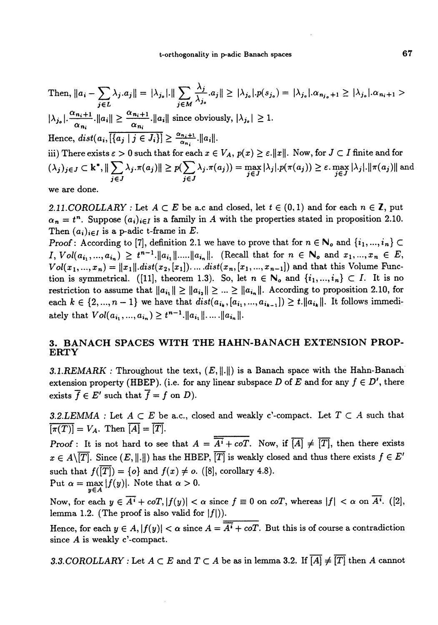Then, 
$$
||a_i - \sum_{j \in L} \lambda_j.a_j|| = |\lambda_{j_o}| \cdot ||\sum_{j \in M} \frac{\lambda_j}{\lambda_{j_o}}.a_j|| \geq |\lambda_{j_o}|.p(s_{j_o}) = |\lambda_{j_o}|.\alpha_{n_{j_o}+1} \geq |\lambda_{j_o}|.\alpha_{n_i+1} > |\lambda_{j_o}| \cdot \frac{\alpha_{n_i+1}}{\alpha_{n_i}}.||a_i|| \geq \frac{\alpha_{n_i+1}}{\alpha_{n_i}}.||a_i||
$$
 since obviously,  $|\lambda_{j_o}| \geq 1$ .  
\nHence,  $dist(a_i, \overline{\{\{a_j \mid j \in J_i\}\}} \geq \frac{\alpha_{n_i+1}}{\alpha_{n_i}}.||a_i||$ .  
\niii) There exists  $\varepsilon > 0$  such that for each  $x \in V_A$ ,  $p(x) \geq \varepsilon.||x||$ . Now, for  $J \subset I$  finite and for  $(\lambda_j)_{j \in J} \subset \mathbf{k}^*$ ,  $||\sum_{j \in J} \lambda_j.\pi(a_j)|| \geq p(\sum_{j \in J} \lambda_j.\pi(a_j)) = \max_{j \in J} |\lambda_j|.p(\pi(a_j)) \geq \varepsilon \cdot \max_{j \in J} |\lambda_j|.||\pi(a_j)||$  and

we are done.

2.11. COROLLARY : Let  $A \subset E$  be a.c and closed, let  $t \in (0,1)$  and for each  $n \in \mathbb{Z}$ , put  $\alpha_n = t^n$ . Suppose  $(a_i)_{i \in I}$  is a family in A with the properties stated in proposition 2.10. Then  $(a_i)_{i \in I}$  is a p-adic t-frame in E.

Proof : According to [7], definition 2.1 we have to prove that for  $n \in \mathbb{N}_o$  and  $\{i_1, ..., i_n\} \subset$  $I, Vol(a_{i_1},...,a_{i_n}) \geq t^{n-1}$ .  $||a_{i_1}||....||a_{i_n}||$ . (Recall that for  $n \in \mathbb{N}_o$  and  $x_1,...,x_n \in E$ ,  $Vol(x_1, ..., x_n) = ||x_1||$ .dist $(x_2, [x_1])$ .....dist $(x_n, [x_1, ..., x_{n-1}])$  and that this Volume Function is symmetrical. ([11], theorem 1.3). So, let  $n \in \mathbb{N}_o$  and  $\{i_1, ..., i_n\} \subset I$ . It is no restriction to assume that  $||a_{i_1}|| \ge ||a_{i_2}|| \ge ... \ge ||a_{i_n}||$ . According to proposition 2.10, for each  $k \in \{2, ..., n-1\}$  we have that  $dist(a_{i_k}, [a_{i_1}, ..., a_{i_{k-1}}]) \ge t$ . It follows immediately that  $Vol(a_{i_1},...,a_{i_n}) \geq t^{n-1}$ .  $||a_{i_1}||...||a_{i_n}||$ .

### 3. BANACH SPACES WITH THE HAHN-BANACH EXTENSION PROP-ERTY

3.1.REMARK : Throughout the text,  $(E, \|\cdot\|)$  is a Banach space with the Hahn-Banach extension property (HBEP). (i.e. for any linear subspace D of E and for any  $f \in D'$ , there exists  $\overline{f} \in E'$  such that  $\overline{f} = f$  on D).

3.2.LEMMA : Let  $A \subset E$  be a.c., closed and weakly c'-compact. Let  $T \subset A$  such that  $\overline{[\pi(T)]} = V_A$ . Then  $\overline{[A]} = \overline{[T]}.$ 

Proof : It is not hard to see that  $A = \overline{A^i + c \sigma T}$ . Now, if  $\overline{[A]} \neq \overline{[T]}$ , then there exists  $x \in A\setminus\overline{[T]}$ . Since  $(E, \|\cdot\|)$  has the HBEP,  $\overline{[T]}$  is weakly closed and thus there exists  $f \in E'$ such that  $f(\overline{T}) = \{o\}$  and  $f(x) \neq o$ . ([8], corollary 4.8). Put  $\alpha = \max_{y \in A} |f(y)|$ . Note that  $\alpha > 0$ .

Now, for each  $y \in \overline{A^i} + \overline{coT}, |f(y)| < \alpha$  since  $f \equiv 0$  on  $\overline{coT}$ , whereas  $|f| < \alpha$  on  $\overline{A^i}$ . ([2], lemma 1.2. (The proof is also valid for  $|f|$ ).

Hence, for each  $y \in A$ ,  $|f(y)| < \alpha$  since  $A = \overline{A^i + c}$ . But this is of course a contradiction since A is weakly c'-compact.

3.3. COROLLARY : Let  $A \subset E$  and  $T \subset A$  be as in lemma 3.2. If  $\overline{[A]} \neq \overline{[T]}$  then A cannot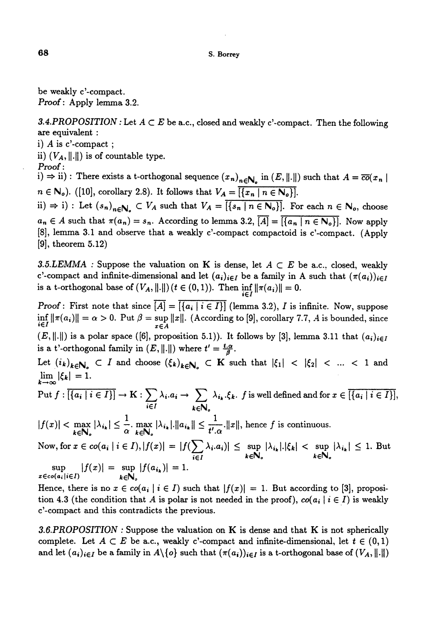#### S. Borrey

be weakly c'-compact. Proof : Apply lemma 3.2.

3.4.PROPOSITION : Let  $A \subset E$  be a.c., closed and weakly c'-compact. Then the following are equivalent :

i) A is c'-compact ;

ii)  $(V_A, \|\cdot\|)$  is of countable type.

Proof :

i)  $\Rightarrow$  ii) : There exists a t-orthogonal sequence  $(x_n)_{n\in\mathbb{N}_o}$  in  $(E, \|\cdot\|)$  such that  $A = \overline{co}(x_n)$  $n \in \mathbb{N}_o$ ). ([10], corollary 2.8). It follows that  $V_A = \overline{[\{x_n \mid n \in \mathbb{N}_o\}]}$ .

ii)  $\Rightarrow$  i) : Let  $(s_n)_{n\in\mathbb{N}_o} \subset V_A$  such that  $V_A = \overline{\{\{s_n \mid n \in \mathbb{N}_o\}\}}$ . For each  $n \in \mathbb{N}_o$ , choose  $a_n \in A$  such that  $\pi(a_n) = s_n$ . According to lemma 3.2,  $\overline{[A]} = \overline{[\{a_n \mid n \in N_o\}]}$ . Now apply [8], lemma 3.1 and observe that a weakly c'-compact compactoid is c'-compact. (Apply  $[9]$ , theorem  $5.12$ )

3.5.LEMMA : Suppose the valuation on K is dense, let  $A \subset E$  be a.c., closed, weakly c'-compact and infinite-dimensional and let  $(a_i)_{i\in I}$  be a family in A such that  $(\pi(a_i))_{i\in I}$ is a t-orthogonal base of  $(V_A, ||.||)$   $(t \in (0,1))$ . Then  $\inf_{i \in I} ||\pi(a_i)|| = 0$ .

Proof : First note that since  $[A] = \{ \{a_i \mid i \in I \} \}$  (lemma 3.2), I is infinite. Now, suppose  $\inf_{i\in I} \|\pi(a_i)\| = \alpha > 0$ . Put  $\beta = \sup_{x\in A} \|x\|$ . (According to [9], corollary 7.7, A is bounded, since  $(E, ||.||)$  is a polar space ([6], proposition 5.1)). It follows by [3], lemma 3.11 that  $(a_i)_{i\in I}$ is a t'-orthogonal family in  $(E, ||.||)$  where  $t' = \frac{t.\alpha}{\beta}$ .

Let  $(i_k)_{k\in\mathbb{N}_o}$  C I and choose  $(\xi_k)_{k\in\mathbb{N}_o}$  C K such that  $|\xi_1|$  <  $|\xi_2|$  < ... < 1 and  $\lim_{k\to\infty} |\xi_k| = 1.$ 

Put 
$$
f : \overline{[\{a_i \mid i \in I\}]} \to K : \sum_{i \in I} \lambda_i.a_i \to \sum_{k \in \mathbb{N}_o} \lambda_{i_k}.\xi_k
$$
.  $f$  is well defined and for  $x \in \overline{[\{a_i \mid i \in I\}]}$ ,

 $|f(x)| < \max_{k \in \mathbb{N}_s} |\lambda_{i_k}| \leq \frac{1}{\alpha} \cdot \max_{k \in \mathbb{N}_s} |\lambda_{i_k}| \cdot ||a_{i_k}|| \leq \frac{1}{t'.\alpha} \cdot ||x||$ , hence f is continuous.

Now, for  $x \in co(a_i | i \in I), |f(x)| = |f(\sum_{i \in I} \lambda_i.a_i)| \leq \sup_{k \in \mathbb{N}_o} |\lambda_{i_k}| |\xi_k| < \sup_{k \in \mathbb{N}_o} |\lambda_{i_k}| \leq 1$ . But  $\sup |f(x)| = \sup |f(a_{i_k})| = 1.$  $x \in co(a_i|i \in I)$  keN<sub>a</sub>

Hence, there is no  $x \in co(a_i \mid i \in I)$  such that  $|f(x)| = 1$ . But according to [3], proposition 4.3 (the condition that A is polar is not needed in the proof),  $co(a_i | i \in I)$  is weakly c'-compact and this contradicts the previous.

3.6.PROPOSITION : Suppose the valuation on K is dense and that K is not spherically complete. Let  $A \subset E$  be a.c., weakly c'-compact and infinite-dimensional, let  $t \in (0,1)$ and let  $(a_i)_{i\in I}$  be a family in  $A\setminus\{o\}$  such that  $(\pi(a_i))_{i\in I}$  is a t-orthogonal base of  $(V_A, \|\cdot\|)$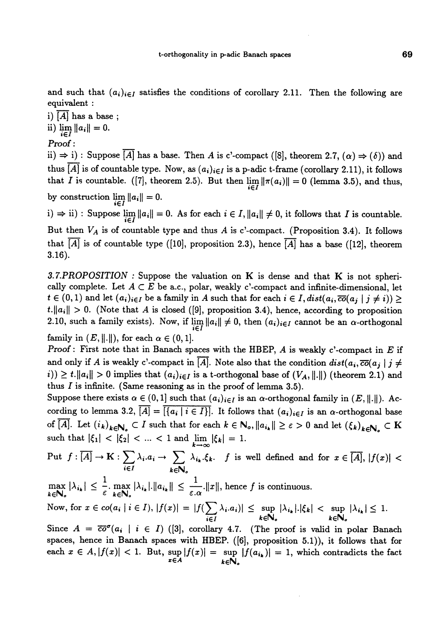and such that  $(a_i)_{i\in I}$  satisfies the conditions of corollary 2.11. Then the following are equivalent :

i)  $[A]$  has a base; ii)  $\lim_{i \in I} ||a_i|| = 0.$ 

Proof :

ii)  $\Rightarrow$  i) : Suppose  $\overline{[A]}$  has a base. Then A is c'-compact ([8], theorem 2.7,  $(\alpha) \Rightarrow (\delta)$ ) and thus [A] is of countable type. Now, as  $(a_i)_{i\in I}$  is a p-adic t-frame (corollary 2.11), it follows that I is countable. ([7], theorem 2.5). But then  $\lim_{i \in I} ||\pi(a_i)|| = 0$  (lemma 3.5), and thus, by construction  $\lim_{i \in I} ||a_i|| = 0.$ 

i)  $\Rightarrow$  ii) : Suppose  $\lim_{i \in I} ||a_i|| = 0$ . As for each  $i \in I$ ,  $||a_i|| \neq 0$ , it follows that I is countable. But then  $V_A$  is of countable type and thus A is c'-compact. (Proposition 3.4). It follows that  $[A]$  is of countable type ([10], proposition 2.3), hence  $[A]$  has a base ([12], theorem 3.16).

3.7.PROPOSITION : Suppose the valuation on  $K$  is dense and that  $K$  is not spherically complete. Let  $A \subset E$  be a.c., polar, weakly c'-compact and infinite-dimensional, let  $t \in (0,1)$  and let  $(a_i)_{i \in I}$  be a family in A such that for each  $i \in I$ ,  $dist(a_i, \overline{co}(a_j \mid j \neq i)) \geq t$ .  $||a_i|| > 0$ . (Note that A is closed ([9], proposition 3.4), hence, according to proposition 2.10, such a family exists). Now, if  $\lim_{i \in I} ||a_i|| \neq 0$ , then  $(a_i)_{i \in I}$  cannot be an  $\alpha$ -orthogonal family in  $(E, ||.||)$ , for each  $\alpha \in (0, 1]$ .

**Proof : First note that in Banach spaces with the HBEP, A is weakly c'-compact in E if** and only if A is weakly c'-compact in  $\overline{[A]}$ . Note also that the condition  $dist(a_i, \overline{co}(a_j \mid j \neq j))$ i))  $\geq t$ .  $||a_i|| > 0$  implies that  $(a_i)_{i \in I}$  is a t-orthogonal base of  $(V_A, ||.||)$  (theorem 2.1) and thus  $I$  is infinite. (Same reasoning as in the proof of lemma 3.5).

Suppose there exists  $\alpha \in (0,1]$  such that  $(a_i)_{i \in I}$  is an  $\alpha$ -orthogonal family in  $(E, \|\cdot\|)$ . According to lemma 3.2,  $\overline{[A]} = \overline{[\{a_i \mid i \in I\}]}$ . It follows that  $(a_i)_{i \in I}$  is an  $\alpha$ -orthogonal base of  $\overline{[A]}$ . Let  $(i_k)_{k \in \mathbb{N}_o} \subset I$  such that for each  $k \in \mathbb{N}_o$ ,  $||a_{i_k}|| \geq \varepsilon > 0$  and let  $(\xi_k)_{k \in \mathbb{N}_o} \subset K$ such that  $|\xi_1| < |\xi_2| < ... < 1$  and  $\lim_{k \to \infty} |\xi_k| = 1$ .

Put  $f : \overline{[A]} \to \mathbf{K} : \sum_{i \in I} \lambda_i a_i \to \sum_{k \in \mathbb{N}_o} \lambda_{i_k} \xi_k$ . *f* is well defined and for  $x \in \overline{[A]}$ ,  $\max_{k \in \mathbb{N}_o} |\lambda_{i_k}| \leq \frac{1}{\varepsilon} \max_{k \in \mathbb{N}_o} |\lambda_{i_k}| |\lambda_{i_k}| \leq \frac{1}{\varepsilon \cdot \alpha}$ .  $||x||$ , hence f is continuous. Now, for  $x \in co(a_i | i \in I), |f(x)| = |f(\sum \lambda_i.a_i)| \leq \sup |\lambda_{i_k}| |\xi_k| < \sup |\lambda_{i_k}| \leq 1$  $i\in I$   $k\in\mathbb{N}_o$   $k\in\mathbb{N}_o$ Since  $A = \overline{co}^{\sigma}(a_i \mid i \in I)$  ([3], corollary 4.7. (The proof is valid in polar Banach

spaces, hence in Banach spaces with HBEP. ([6], proposition 5.1)), it follows that for each  $x \in A, |f(x)| < 1$ . But,  $\sup_{x \in A} |f(x)| = \sup_{k \in \mathbb{N}_o} |f(a_{i_k})| = 1$ , which contradicts the fact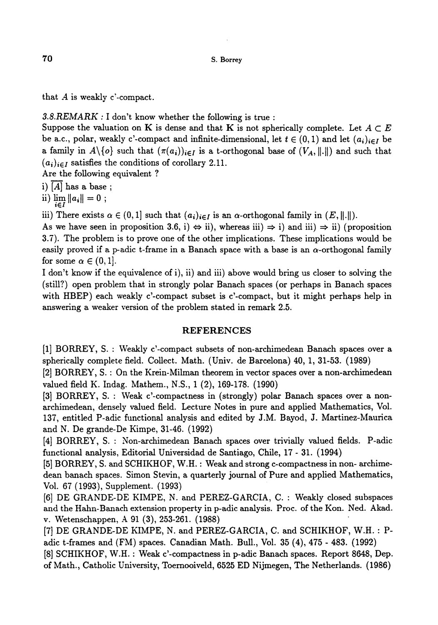that  $A$  is weakly c'-compact.

3.8.REMARK : I don't know whether the following is true :

Suppose the valuation on K is dense and that K is not spherically complete. Let  $A \subset E$ be a.c., polar, weakly c'-compact and infinite-dimensional, let  $t \in (0,1)$  and let  $(a_i)_{i \in I}$  be a family in  $A\setminus\{o\}$  such that  $(\pi(a_i))_{i\in I}$  is a t-orthogonal base of  $(V_A, \|\cdot\|)$  and such that  $(a_i)_{i \in I}$  satisfies the conditions of corollary 2.11.

Are the following equivalent ?

i)  $[A]$  has a base;

ii)  $\lim_{i \in I} ||a_i|| = 0$ ;

iii) There exists  $\alpha \in (0,1]$  such that  $(a_i)_{i \in I}$  is an  $\alpha$ -orthogonal family in  $(E, \|\cdot\|)$ .

As we have seen in proposition 3.6, i)  $\Leftrightarrow$  ii), whereas iii)  $\Rightarrow$  i) and iii)  $\Rightarrow$  ii) (proposition 3.7). The problem is to prove one of the other implications. These implications would be easily proved if a p-adic t-frame in a Banach space with a base is an  $\alpha$ -orthogonal family for some  $\alpha \in (0,1]$ .

I don't know if the equivalence of i), ii) and iii) above would bring us closer to solving the (still?) open problem that in strongly polar Banach spaces (or perhaps in Banach spaces with HBEP) each weakly c'-compact subset is c'-compact, but it might perhaps help in answering a weaker version of the problem stated in remark 2.5.

#### REFERENCES

[1] BORREY, S. : Weakly c'-compact subsets of non-archimedean Banach spaces over a spherically complete field. Collect. Math. (Univ. de Barcelona) 40, 1, 31-53. (1989)

[2] BORREY, S. : On the Krein-Milman theorem in vector spaces over a non-archimedean valued field K. Indag. Mathem., N.S., 1 (2), 169-178. (1990)

[3] BORREY, S. : Weak c'-compactness in (strongly) polar Banach spaces over a nonarchimedean, densely valued field. Lecture Notes in pure and applied Mathematics, Vol. 137, entitled P-adic functional analysis and edited by J.M. Bayod, J. Martinez-Maurica and N. De grande-De Kimpe, 31-46. (1992)

[4] BORREY, S. : Non-archimedean Banach spaces over trivially valued fields. P-adic functional analysis, Editorial Universidad de Santiago, Chile, 17 - 31. (1994)

[5] BORREY, S. and SCHIKHOF, W.H. : Weak and strong c-compactness in non- archimedean banach spaces. Simon Stevin, a quarterly journal of Pure and applied Mathematics, Vol. 67 (1993), Supplement. (1993)

[6] DE GRANDE-DE KIMPE, N. and PEREZ-GARCIA, C. : Weakly closed subspaces and the Hahn-Banach extension property in p-adic analysis. Proc. of the Kon. Ned. Akad. v. Wetenschappen, A 91 (3), 253-261. (1988)

[7] DE GRANDE-DE KIMPE, N. and PEREZ-GARCIA, C. and SCHIKHOF, W.H. : Padic t-frames and (FM) spaces. Canadian Math. Bull., Vol. 35 (4), 475 - 483. (1992) [8] SCHIKHOF, W.H. : Weak c'-compactness in p-adic Banach spaces. Report 8648, Dep. of Math., Catholic University, Toemooiveld, 6525 ED Nijmegen, The Netherlands. (1986)